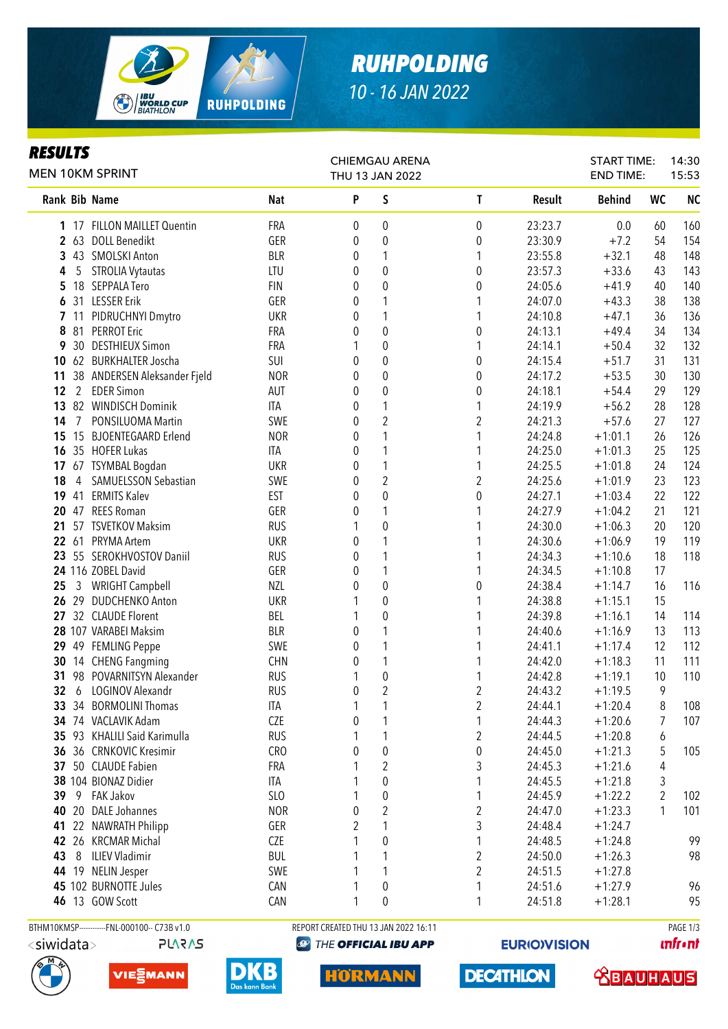

# *RUHPOLDING 10 - 16 JAN 2022*

## *RESULTS*

| P<br>S<br><b>Nat</b><br>T<br>Rank Bib Name<br>Result<br>FRA<br>$\boldsymbol{0}$<br>23:23.7<br>1 17 FILLON MAILLET Quentin<br>0<br>0<br>2 63 DOLL Benedikt<br>GER<br>$\boldsymbol{0}$<br>$\mathbf 0$<br>23:30.9<br>0<br>3 43 SMOLSKI Anton<br><b>BLR</b><br>1<br>1<br>23:55.8<br>0<br>$\pmb{0}$<br>LTU<br>$\boldsymbol{0}$<br><b>STROLIA Vytautas</b><br>0<br>23:57.3<br>5<br>4<br>$\pmb{0}$<br>18 SEPPALA Tero<br>$\mathbf 0$<br><b>FIN</b><br>0<br>24:05.6<br>5<br>31 LESSER Erik<br>GER<br>1<br>24:07.0<br>0<br>1<br>6<br>11 PIDRUCHNYI Dmytro<br><b>UKR</b><br>1<br>24:10.8<br>7<br>0<br>1<br>$\pmb{0}$<br>81 PERROT Eric<br>FRA<br>$\mathbf 0$<br>8<br>0<br>24:13.1<br>$\pmb{0}$<br>30 DESTHIEUX Simon<br>FRA<br>1<br>24:14.1<br>9<br>1<br>$\boldsymbol{0}$<br>62 BURKHALTER Joscha<br>SUI<br>0<br>$\boldsymbol{0}$<br>24:15.4<br>10<br>$\pmb{0}$<br>38 ANDERSEN Aleksander Fjeld<br><b>NOR</b><br>0<br>$\boldsymbol{0}$<br>11<br>24:17.2<br>$\pmb{0}$<br>$\pmb{0}$<br>$2^{\circ}$<br><b>EDER Simon</b><br>0<br>12<br>AUT<br>24:18.1<br>$\mathbf{1}$<br>82 WINDISCH Dominik<br><b>ITA</b><br>1<br>24:19.9<br>13<br>0<br>$\sqrt{2}$<br>2<br>PONSILUOMA Martin<br>SWE<br>0<br>24:21.3<br>14<br>7 | 15:53                          | <b>START TIME:</b><br><b>END TIME:</b> |  |
|----------------------------------------------------------------------------------------------------------------------------------------------------------------------------------------------------------------------------------------------------------------------------------------------------------------------------------------------------------------------------------------------------------------------------------------------------------------------------------------------------------------------------------------------------------------------------------------------------------------------------------------------------------------------------------------------------------------------------------------------------------------------------------------------------------------------------------------------------------------------------------------------------------------------------------------------------------------------------------------------------------------------------------------------------------------------------------------------------------------------------------------------------------------------------------------------------|--------------------------------|----------------------------------------|--|
|                                                                                                                                                                                                                                                                                                                                                                                                                                                                                                                                                                                                                                                                                                                                                                                                                                                                                                                                                                                                                                                                                                                                                                                                    | <b>NC</b><br><b>WC</b>         | <b>Behind</b>                          |  |
|                                                                                                                                                                                                                                                                                                                                                                                                                                                                                                                                                                                                                                                                                                                                                                                                                                                                                                                                                                                                                                                                                                                                                                                                    | 0.0<br>60<br>160               |                                        |  |
|                                                                                                                                                                                                                                                                                                                                                                                                                                                                                                                                                                                                                                                                                                                                                                                                                                                                                                                                                                                                                                                                                                                                                                                                    | 54<br>154                      | $+7.2$                                 |  |
|                                                                                                                                                                                                                                                                                                                                                                                                                                                                                                                                                                                                                                                                                                                                                                                                                                                                                                                                                                                                                                                                                                                                                                                                    | 48<br>148                      | $+32.1$                                |  |
|                                                                                                                                                                                                                                                                                                                                                                                                                                                                                                                                                                                                                                                                                                                                                                                                                                                                                                                                                                                                                                                                                                                                                                                                    | 143<br>43                      | $+33.6$                                |  |
|                                                                                                                                                                                                                                                                                                                                                                                                                                                                                                                                                                                                                                                                                                                                                                                                                                                                                                                                                                                                                                                                                                                                                                                                    | 140<br>40                      | $+41.9$                                |  |
|                                                                                                                                                                                                                                                                                                                                                                                                                                                                                                                                                                                                                                                                                                                                                                                                                                                                                                                                                                                                                                                                                                                                                                                                    | 138<br>38                      | $+43.3$                                |  |
|                                                                                                                                                                                                                                                                                                                                                                                                                                                                                                                                                                                                                                                                                                                                                                                                                                                                                                                                                                                                                                                                                                                                                                                                    | 36<br>136                      | $+47.1$                                |  |
|                                                                                                                                                                                                                                                                                                                                                                                                                                                                                                                                                                                                                                                                                                                                                                                                                                                                                                                                                                                                                                                                                                                                                                                                    | 34<br>134                      | $+49.4$                                |  |
|                                                                                                                                                                                                                                                                                                                                                                                                                                                                                                                                                                                                                                                                                                                                                                                                                                                                                                                                                                                                                                                                                                                                                                                                    | 32<br>132                      | $+50.4$                                |  |
|                                                                                                                                                                                                                                                                                                                                                                                                                                                                                                                                                                                                                                                                                                                                                                                                                                                                                                                                                                                                                                                                                                                                                                                                    | 31<br>131                      | $+51.7$                                |  |
|                                                                                                                                                                                                                                                                                                                                                                                                                                                                                                                                                                                                                                                                                                                                                                                                                                                                                                                                                                                                                                                                                                                                                                                                    | 30<br>130                      | $+53.5$                                |  |
|                                                                                                                                                                                                                                                                                                                                                                                                                                                                                                                                                                                                                                                                                                                                                                                                                                                                                                                                                                                                                                                                                                                                                                                                    | 129<br>29                      | $+54.4$                                |  |
|                                                                                                                                                                                                                                                                                                                                                                                                                                                                                                                                                                                                                                                                                                                                                                                                                                                                                                                                                                                                                                                                                                                                                                                                    | 28<br>128                      | $+56.2$                                |  |
|                                                                                                                                                                                                                                                                                                                                                                                                                                                                                                                                                                                                                                                                                                                                                                                                                                                                                                                                                                                                                                                                                                                                                                                                    | 27<br>127                      | $+57.6$                                |  |
| $\mathbf{1}$<br>15 BJOENTEGAARD Erlend<br><b>NOR</b><br>1<br>24:24.8<br>15<br>0                                                                                                                                                                                                                                                                                                                                                                                                                                                                                                                                                                                                                                                                                                                                                                                                                                                                                                                                                                                                                                                                                                                    | 26<br>126                      | $+1:01.1$                              |  |
| $\mathbf{1}$<br>35 HOFER Lukas<br>24:25.0<br>16<br>ITA<br>0<br>1                                                                                                                                                                                                                                                                                                                                                                                                                                                                                                                                                                                                                                                                                                                                                                                                                                                                                                                                                                                                                                                                                                                                   | 25<br>125                      | $+1:01.3$                              |  |
| $\mathbf{1}$<br>67 TSYMBAL Bogdan<br><b>UKR</b><br>24:25.5<br>17<br>1<br>0                                                                                                                                                                                                                                                                                                                                                                                                                                                                                                                                                                                                                                                                                                                                                                                                                                                                                                                                                                                                                                                                                                                         | 124<br>24                      | $+1:01.8$                              |  |
| $\overline{2}$<br>$\overline{2}$<br>SAMUELSSON Sebastian<br>SWE<br>24:25.6<br>18<br>4<br>0                                                                                                                                                                                                                                                                                                                                                                                                                                                                                                                                                                                                                                                                                                                                                                                                                                                                                                                                                                                                                                                                                                         | 23<br>123                      | $+1:01.9$                              |  |
| $\mathbf 0$<br>$\boldsymbol{0}$<br>41 ERMITS Kalev<br><b>EST</b><br>24:27.1<br>19<br>0                                                                                                                                                                                                                                                                                                                                                                                                                                                                                                                                                                                                                                                                                                                                                                                                                                                                                                                                                                                                                                                                                                             | 22<br>122                      | $+1:03.4$                              |  |
| 1<br>47 REES Roman<br>GER<br>1<br>24:27.9<br>20<br>0                                                                                                                                                                                                                                                                                                                                                                                                                                                                                                                                                                                                                                                                                                                                                                                                                                                                                                                                                                                                                                                                                                                                               | 21<br>121                      | $+1:04.2$                              |  |
| $\mathbf 0$<br>21 57 TSVETKOV Maksim<br><b>RUS</b><br>24:30.0<br>1                                                                                                                                                                                                                                                                                                                                                                                                                                                                                                                                                                                                                                                                                                                                                                                                                                                                                                                                                                                                                                                                                                                                 | 20<br>120                      | $+1:06.3$                              |  |
| 1<br>22 61 PRYMA Artem<br><b>UKR</b><br>24:30.6<br>0<br>1                                                                                                                                                                                                                                                                                                                                                                                                                                                                                                                                                                                                                                                                                                                                                                                                                                                                                                                                                                                                                                                                                                                                          | 19<br>119                      | $+1:06.9$                              |  |
| 23 55 SEROKHVOSTOV Daniil<br>1<br><b>RUS</b><br>0<br>1<br>24:34.3                                                                                                                                                                                                                                                                                                                                                                                                                                                                                                                                                                                                                                                                                                                                                                                                                                                                                                                                                                                                                                                                                                                                  | 18<br>118                      | $+1:10.6$                              |  |
| 24 116 ZOBEL David<br>GER<br>1<br>24:34.5<br>0<br>1                                                                                                                                                                                                                                                                                                                                                                                                                                                                                                                                                                                                                                                                                                                                                                                                                                                                                                                                                                                                                                                                                                                                                | 17                             | $+1:10.8$                              |  |
| <b>WRIGHT Campbell</b><br><b>NZL</b><br>$\boldsymbol{0}$<br>$\boldsymbol{0}$<br>24:38.4<br>0<br>25<br>$\mathbf{3}$                                                                                                                                                                                                                                                                                                                                                                                                                                                                                                                                                                                                                                                                                                                                                                                                                                                                                                                                                                                                                                                                                 | 16<br>116                      | $+1:14.7$                              |  |
| $\pmb{0}$<br>26 29 DUDCHENKO Anton<br><b>UKR</b><br>24:38.8                                                                                                                                                                                                                                                                                                                                                                                                                                                                                                                                                                                                                                                                                                                                                                                                                                                                                                                                                                                                                                                                                                                                        | 15                             | $+1:15.1$                              |  |
| 27 32 CLAUDE Florent<br>BEL<br>$\boldsymbol{0}$<br>24:39.8                                                                                                                                                                                                                                                                                                                                                                                                                                                                                                                                                                                                                                                                                                                                                                                                                                                                                                                                                                                                                                                                                                                                         | 14<br>114                      | $+1:16.1$                              |  |
| 28 107 VARABEI Maksim<br><b>BLR</b><br>1<br>24:40.6<br>0<br>1                                                                                                                                                                                                                                                                                                                                                                                                                                                                                                                                                                                                                                                                                                                                                                                                                                                                                                                                                                                                                                                                                                                                      | 13<br>113                      | $+1:16.9$                              |  |
| 29 49 FEMLING Peppe<br>SWE<br>1<br>24:41.1<br>0<br>1                                                                                                                                                                                                                                                                                                                                                                                                                                                                                                                                                                                                                                                                                                                                                                                                                                                                                                                                                                                                                                                                                                                                               | 12<br>112                      | $+1:17.4$                              |  |
| 30<br>14 CHENG Fangming<br><b>CHN</b><br>1<br>24:42.0<br>0<br>1                                                                                                                                                                                                                                                                                                                                                                                                                                                                                                                                                                                                                                                                                                                                                                                                                                                                                                                                                                                                                                                                                                                                    | 11<br>111                      | $+1:18.3$                              |  |
| 98 POVARNITSYN Alexander<br>$\pmb{0}$<br><b>RUS</b><br>24:42.8<br>31<br>1                                                                                                                                                                                                                                                                                                                                                                                                                                                                                                                                                                                                                                                                                                                                                                                                                                                                                                                                                                                                                                                                                                                          | 10<br>110                      | $+1:19.1$                              |  |
| $\sqrt{2}$<br>2<br>32<br><b>LOGINOV Alexandr</b><br><b>RUS</b><br>0<br>24:43.2<br>6                                                                                                                                                                                                                                                                                                                                                                                                                                                                                                                                                                                                                                                                                                                                                                                                                                                                                                                                                                                                                                                                                                                | 9                              | $+1:19.5$                              |  |
| 33 34 BORMOLINI Thomas<br>ITA<br>1<br>2<br>1<br>24:44.1                                                                                                                                                                                                                                                                                                                                                                                                                                                                                                                                                                                                                                                                                                                                                                                                                                                                                                                                                                                                                                                                                                                                            | 108<br>8                       | $+1:20.4$                              |  |
| 34 74 VACLAVIK Adam<br><b>CZE</b><br>0<br>1<br>1<br>24:44.3                                                                                                                                                                                                                                                                                                                                                                                                                                                                                                                                                                                                                                                                                                                                                                                                                                                                                                                                                                                                                                                                                                                                        | 7<br>107                       | $+1:20.6$                              |  |
| 2<br>35 93 KHALILI Said Karimulla<br><b>RUS</b><br>1<br>24:44.5                                                                                                                                                                                                                                                                                                                                                                                                                                                                                                                                                                                                                                                                                                                                                                                                                                                                                                                                                                                                                                                                                                                                    | 6                              | $+1:20.8$                              |  |
| $\pmb{0}$<br>$\boldsymbol{0}$<br>36 36 CRNKOVIC Kresimir<br><b>CRO</b><br>0<br>24:45.0                                                                                                                                                                                                                                                                                                                                                                                                                                                                                                                                                                                                                                                                                                                                                                                                                                                                                                                                                                                                                                                                                                             | 5<br>105                       | $+1:21.3$                              |  |
| $\sqrt{2}$<br>3<br>37 50 CLAUDE Fabien<br><b>FRA</b><br>24:45.3                                                                                                                                                                                                                                                                                                                                                                                                                                                                                                                                                                                                                                                                                                                                                                                                                                                                                                                                                                                                                                                                                                                                    | 4                              | $+1:21.6$                              |  |
| $\pmb{0}$<br>38 104 BIONAZ Didier<br>ITA<br>1<br>24:45.5                                                                                                                                                                                                                                                                                                                                                                                                                                                                                                                                                                                                                                                                                                                                                                                                                                                                                                                                                                                                                                                                                                                                           | 3                              | $+1:21.8$                              |  |
| $\pmb{0}$<br>FAK Jakov<br>SL <sub>0</sub><br>1<br>39<br>9<br>24:45.9                                                                                                                                                                                                                                                                                                                                                                                                                                                                                                                                                                                                                                                                                                                                                                                                                                                                                                                                                                                                                                                                                                                               | $\overline{\mathbf{c}}$<br>102 | $+1:22.2$                              |  |
| $\sqrt{2}$<br>$\overline{\mathbf{c}}$<br>20 DALE Johannes<br><b>NOR</b><br>40<br>0<br>24:47.0                                                                                                                                                                                                                                                                                                                                                                                                                                                                                                                                                                                                                                                                                                                                                                                                                                                                                                                                                                                                                                                                                                      | 101<br>1                       | $+1:23.3$                              |  |
| 3<br>1<br>22 NAWRATH Philipp<br>${\sf GER}$<br>41<br>2<br>24:48.4                                                                                                                                                                                                                                                                                                                                                                                                                                                                                                                                                                                                                                                                                                                                                                                                                                                                                                                                                                                                                                                                                                                                  |                                | $+1:24.7$                              |  |
| $\pmb{0}$<br>42 26 KRCMAR Michal<br>CZE<br>1<br>24:48.5                                                                                                                                                                                                                                                                                                                                                                                                                                                                                                                                                                                                                                                                                                                                                                                                                                                                                                                                                                                                                                                                                                                                            | 99                             | $+1:24.8$                              |  |
| 2<br>8<br><b>ILIEV Vladimir</b><br><b>BUL</b><br>1<br>43<br>24:50.0                                                                                                                                                                                                                                                                                                                                                                                                                                                                                                                                                                                                                                                                                                                                                                                                                                                                                                                                                                                                                                                                                                                                | 98                             | $+1:26.3$                              |  |
| 2<br>44 19 NELIN Jesper<br>SWE<br>1<br>24:51.5                                                                                                                                                                                                                                                                                                                                                                                                                                                                                                                                                                                                                                                                                                                                                                                                                                                                                                                                                                                                                                                                                                                                                     |                                | $+1:27.8$                              |  |
| 45 102 BURNOTTE Jules<br>$\boldsymbol{0}$<br>CAN<br>24:51.6<br>1                                                                                                                                                                                                                                                                                                                                                                                                                                                                                                                                                                                                                                                                                                                                                                                                                                                                                                                                                                                                                                                                                                                                   | 96                             | $+1:27.9$                              |  |
| 0<br><b>46</b> 13 GOW Scott<br>CAN<br>1<br>24:51.8<br>1                                                                                                                                                                                                                                                                                                                                                                                                                                                                                                                                                                                                                                                                                                                                                                                                                                                                                                                                                                                                                                                                                                                                            | 95                             | $+1:28.1$                              |  |
| BTHM10KMSP------------FNL-000100-- C73B v1.0<br>REPORT CREATED THU 13 JAN 2022 16:11                                                                                                                                                                                                                                                                                                                                                                                                                                                                                                                                                                                                                                                                                                                                                                                                                                                                                                                                                                                                                                                                                                               | PAGE 1/3                       |                                        |  |



**PLARAS** 

VIESMANN

THE OFFICIAL IBU APP

**EURIO)VISION** 





**DKB** 

**HORMANN** 

**DECATHLON**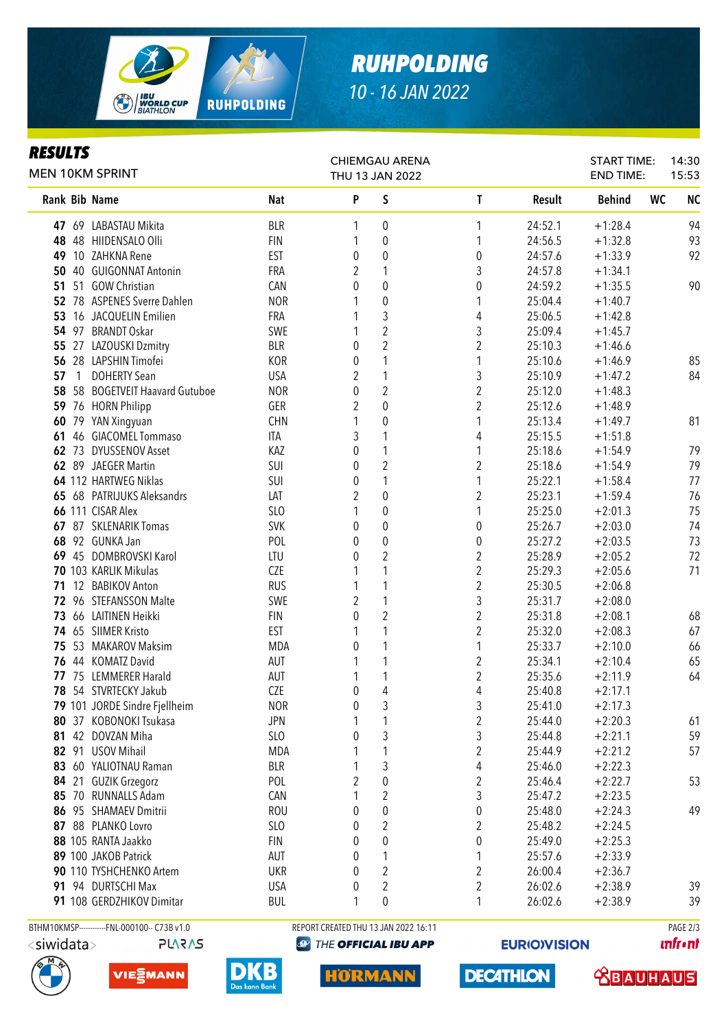

# *RUHPOLDING 10 - 16 JAN 2022*

### *RESULTS*

|    | <b>MEN 10KM SPRINT</b>                       |            | <b>CHIEMGAU ARENA</b><br>THU 13 JAN 2022 |                                      |                         |         | <b>START TIME:</b><br><b>END TIME:</b> | 14:30<br>15:53         |
|----|----------------------------------------------|------------|------------------------------------------|--------------------------------------|-------------------------|---------|----------------------------------------|------------------------|
|    | Rank Bib Name                                | <b>Nat</b> | P                                        | S                                    | T                       | Result  | <b>Behind</b>                          | <b>NC</b><br><b>WC</b> |
|    | 47 69 LABASTAU Mikita                        | <b>BLR</b> | 1                                        | 0                                    | 1                       | 24:52.1 | $+1:28.4$                              | 94                     |
|    | 48 48 HIIDENSALO Olli                        | <b>FIN</b> | 1                                        | 0                                    | 1                       | 24:56.5 | $+1:32.8$                              | 93                     |
| 49 | 10 ZAHKNA Rene                               | <b>EST</b> | 0                                        | 0                                    | 0                       | 24:57.6 | $+1:33.9$                              | 92                     |
|    | 50 40 GUIGONNAT Antonin                      | FRA        | 2                                        |                                      | 3                       | 24:57.8 | $+1:34.1$                              |                        |
|    | 51 51 GOW Christian                          | CAN        | 0                                        | 0                                    | 0                       | 24:59.2 | $+1:35.5$                              | 90                     |
|    | 52 78 ASPENES Sverre Dahlen                  | <b>NOR</b> |                                          | 0                                    | 1                       | 25:04.4 | $+1:40.7$                              |                        |
|    | 53 16 JACQUELIN Emilien                      | <b>FRA</b> |                                          | 3                                    | 4                       | 25:06.5 | $+1:42.8$                              |                        |
|    | 54 97 BRANDT Oskar                           | SWE        | 1                                        | $\boldsymbol{2}$                     | 3                       | 25:09.4 | $+1:45.7$                              |                        |
|    | 55 27 LAZOUSKI Dzmitry                       | <b>BLR</b> | 0                                        | $\overline{2}$                       | $\overline{2}$          | 25:10.3 | $+1:46.6$                              |                        |
|    | 56 28 LAPSHIN Timofei                        | KOR        | 0                                        | 1                                    | 1                       | 25:10.6 | $+1:46.9$                              | 85                     |
| 57 | $\overline{1}$<br><b>DOHERTY Sean</b>        | <b>USA</b> | 2                                        | 1                                    | 3                       | 25:10.9 | $+1:47.2$                              | 84                     |
|    | 58 58 BOGETVEIT Haavard Gutuboe              | <b>NOR</b> | 0                                        | $\overline{2}$                       | $\overline{c}$          | 25:12.0 | $+1:48.3$                              |                        |
|    | 59 76 HORN Philipp                           | GER        | 2                                        | $\pmb{0}$                            | $\overline{c}$          | 25:12.6 | $+1:48.9$                              |                        |
|    | 60 79 YAN Xingyuan                           | <b>CHN</b> | 1                                        | $\boldsymbol{0}$                     | 1                       | 25:13.4 | $+1:49.7$                              | 81                     |
| 61 | 46 GIACOMEL Tommaso                          | ITA        | 3                                        | 1                                    | 4                       | 25:15.5 | $+1:51.8$                              |                        |
|    | 62 73 DYUSSENOV Asset                        | KAZ        | 0                                        | 1                                    | 1                       | 25:18.6 | $+1:54.9$                              | 79                     |
|    | 62 89 JAEGER Martin                          | SUI        | 0                                        | $\overline{2}$                       | $\overline{2}$          | 25:18.6 | $+1:54.9$                              | 79                     |
|    | 64 112 HARTWEG Niklas                        | SUI        | 0                                        | 1                                    | 1                       | 25:22.1 | $+1:58.4$                              | 77                     |
|    | 65 68 PATRIJUKS Aleksandrs                   | LAT        | 2                                        | $\mathbf 0$                          | $\overline{2}$          | 25:23.1 | $+1:59.4$                              | 76                     |
|    | 66 111 CISAR Alex                            | SLO        |                                          | 0                                    | 1                       | 25:25.0 | $+2:01.3$                              | 75                     |
|    | 67 87 SKLENARIK Tomas                        | <b>SVK</b> | 0                                        | 0                                    | 0                       | 25:26.7 | $+2:03.0$                              | 74                     |
|    | 68 92 GUNKA Jan                              | POL        | 0                                        | 0                                    | 0                       | 25:27.2 | $+2:03.5$                              | 73                     |
|    | 69 45 DOMBROVSKI Karol                       | LTU        | 0                                        | 2                                    | $\overline{2}$          | 25:28.9 | $+2:05.2$                              | 72                     |
|    | 70 103 KARLIK Mikulas                        | <b>CZE</b> |                                          | 1                                    | $\overline{2}$          | 25:29.3 | $+2:05.6$                              | 71                     |
|    | 71 12 BABIKOV Anton                          | <b>RUS</b> |                                          | 1                                    | $\overline{2}$          | 25:30.5 | $+2:06.8$                              |                        |
|    | 72 96 STEFANSSON Malte                       | SWE        | 2                                        | 1                                    | 3                       | 25:31.7 | $+2:08.0$                              |                        |
|    | 73 66 LAITINEN Heikki                        | <b>FIN</b> | 0                                        | $\overline{2}$                       | $\overline{c}$          | 25:31.8 | $+2:08.1$                              | 68                     |
|    | 74 65 SIIMER Kristo                          | <b>EST</b> |                                          | 1                                    | $\overline{2}$          | 25:32.0 | $+2:08.3$                              | 67                     |
|    | 75 53 MAKAROV Maksim                         | <b>MDA</b> | 0                                        | 1                                    | 1                       | 25:33.7 | $+2:10.0$                              | 66                     |
|    | 76 44 KOMATZ David                           | AUT        |                                          | 1                                    | $\boldsymbol{2}$        | 25:34.1 | $+2:10.4$                              | 65                     |
|    | 77 75 LEMMERER Harald                        | AUT        |                                          | 1                                    | $\boldsymbol{2}$        | 25:35.6 | $+2:11.9$                              | 64                     |
|    | 78 54 STVRTECKY Jakub                        | CZE        | 0                                        | 4                                    | 4                       | 25:40.8 | $+2:17.1$                              |                        |
|    | 79 101 JORDE Sindre Fjellheim                | <b>NOR</b> | $\pmb{0}$                                | 3                                    | 3                       | 25:41.0 | $+2:17.3$                              |                        |
|    | 80 37 KOBONOKI Tsukasa                       | <b>JPN</b> | 1                                        | 1                                    | $\overline{\mathbf{c}}$ | 25:44.0 | $+2:20.3$                              | 61                     |
|    | 81 42 DOVZAN Miha                            | SLO        | 0                                        | 3                                    | 3                       | 25:44.8 | $+2:21.1$                              | 59                     |
|    | 82 91 USOV Mihail                            | MDA        |                                          | 1                                    | $\overline{c}$          | 25:44.9 | $+2:21.2$                              | 57                     |
|    | 83 60 YALIOTNAU Raman                        | <b>BLR</b> |                                          | 3                                    | 4                       | 25:46.0 | $+2:22.3$                              |                        |
|    | 84 21 GUZIK Grzegorz                         | POL        | 2                                        | $\pmb{0}$                            | $\overline{\mathbf{c}}$ | 25:46.4 | $+2:22.7$                              | 53                     |
|    | 85 70 RUNNALLS Adam                          | CAN        |                                          | $\overline{c}$                       | 3                       | 25:47.2 | $+2:23.5$                              |                        |
|    | 86 95 SHAMAEV Dmitrii                        | <b>ROU</b> | 0                                        | $\pmb{0}$                            | 0                       | 25:48.0 | $+2:24.3$                              | 49                     |
|    | 87 88 PLANKO Lovro                           | SLO        | 0                                        | $\boldsymbol{2}$                     | $\overline{\mathbf{c}}$ | 25:48.2 | $+2:24.5$                              |                        |
|    | 88 105 RANTA Jaakko                          | <b>FIN</b> | 0                                        | $\pmb{0}$                            | 0                       | 25:49.0 | $+2:25.3$                              |                        |
|    | 89 100 JAKOB Patrick                         | AUT        | 0                                        | 1                                    | 1                       | 25:57.6 | $+2:33.9$                              |                        |
|    | 90 110 TYSHCHENKO Artem                      | <b>UKR</b> | 0                                        | $\boldsymbol{2}$                     | $\overline{\mathbf{c}}$ | 26:00.4 | $+2:36.7$                              |                        |
|    | 91 94 DURTSCHI Max                           | <b>USA</b> | 0                                        | $\overline{\mathbf{c}}$              | $\overline{\mathbf{c}}$ | 26:02.6 | $+2:38.9$                              | 39                     |
|    | 91 108 GERDZHIKOV Dimitar                    | <b>BUL</b> | 1                                        | 0                                    | 1                       | 26:02.6 | $+2:38.9$                              | 39                     |
|    | BTHM10KMSP------------FNL-000100-- C73B v1.0 |            |                                          | REPORT CREATED THU 13 JAN 2022 16:11 |                         |         |                                        | PAGE 2/3               |

<siwidata>

**PLARAS** 







THE OFFICIAL IBU APP

**HORMANN** 

**EURIO)VISION** 

**DECATHLON** 

**unfront**